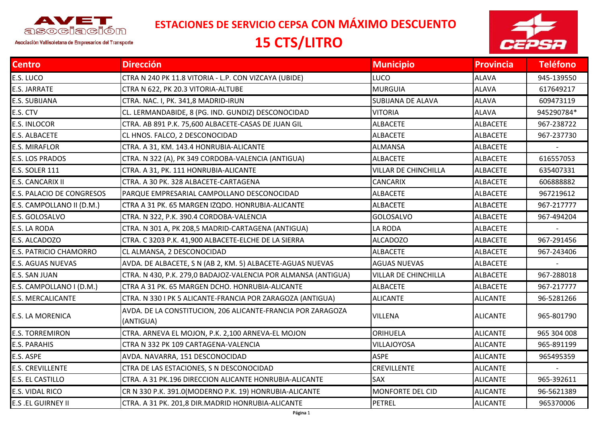

**ESTACIONES DE SERVICIO CEPSA CON MÁXIMO DESCUENTO**

## **15 CTS/LITRO**



Asociación Vallisoletana de Empresarios del Transporte

| <b>Centro</b>                 | <b>Dirección</b>                                                         | <b>Municipio</b>            | <b>Provincia</b> | <b>Teléfono</b> |
|-------------------------------|--------------------------------------------------------------------------|-----------------------------|------------------|-----------------|
| E.S. LUCO                     | CTRA N 240 PK 11.8 VITORIA - L.P. CON VIZCAYA (UBIDE)                    | LUCO                        | <b>ALAVA</b>     | 945-139550      |
| E.S. JARRATE                  | CTRA N 622, PK 20.3 VITORIA-ALTUBE                                       | <b>MURGUIA</b>              | <b>ALAVA</b>     | 617649217       |
| E.S. SUBIJANA                 | CTRA. NAC. I, PK. 341,8 MADRID-IRUN                                      | <b>SUBIJANA DE ALAVA</b>    | <b>ALAVA</b>     | 609473119       |
| E.S. CTV                      | CL. LERMANDABIDE, 8 (PG. IND. GUNDIZ) DESCONOCIDAD                       | <b>VITORIA</b>              | <b>ALAVA</b>     | 945290784*      |
| <b>E.S. INLOCOR</b>           | CTRA. AB 891 P.K. 75,600 ALBACETE-CASAS DE JUAN GIL                      | <b>ALBACETE</b>             | <b>ALBACETE</b>  | 967-238722      |
| E.S. ALBACETE                 | CL HNOS. FALCO, 2 DESCONOCIDAD                                           | <b>ALBACETE</b>             | <b>ALBACETE</b>  | 967-237730      |
| E.S. MIRAFLOR                 | CTRA. A 31, KM. 143.4 HONRUBIA-ALICANTE                                  | <b>ALMANSA</b>              | <b>ALBACETE</b>  |                 |
| E.S. LOS PRADOS               | CTRA. N 322 (A), PK 349 CORDOBA-VALENCIA (ANTIGUA)                       | <b>ALBACETE</b>             | <b>ALBACETE</b>  | 616557053       |
| <b>E.S. SOLER 111</b>         | CTRA. A 31, PK. 111 HONRUBIA-ALICANTE                                    | <b>VILLAR DE CHINCHILLA</b> | <b>ALBACETE</b>  | 635407331       |
| E.S. CANCARIX II              | CTRA. A 30 PK. 328 ALBACETE-CARTAGENA                                    | <b>CANCARIX</b>             | <b>ALBACETE</b>  | 606888882       |
| E.S. PALACIO DE CONGRESOS     | PARQUE EMPRESARIAL CAMPOLLANO DESCONOCIDAD                               | <b>ALBACETE</b>             | <b>ALBACETE</b>  | 967219612       |
| E.S. CAMPOLLANO II (D.M.)     | CTRA A 31 PK. 65 MARGEN IZQDO. HONRUBIA-ALICANTE                         | <b>ALBACETE</b>             | <b>ALBACETE</b>  | 967-217777      |
| E.S. GOLOSALVO                | CTRA. N 322, P.K. 390.4 CORDOBA-VALENCIA                                 | <b>GOLOSALVO</b>            | <b>ALBACETE</b>  | 967-494204      |
| E.S. LA RODA                  | CTRA. N 301 A, PK 208,5 MADRID-CARTAGENA (ANTIGUA)                       | LA RODA                     | <b>ALBACETE</b>  |                 |
| E.S. ALCADOZO                 | CTRA. C 3203 P.K. 41,900 ALBACETE-ELCHE DE LA SIERRA                     | <b>ALCADOZO</b>             | <b>ALBACETE</b>  | 967-291456      |
| <b>E.S. PATRICIO CHAMORRO</b> | CL ALMANSA, 2 DESCONOCIDAD                                               | <b>ALBACETE</b>             | <b>ALBACETE</b>  | 967-243406      |
| <b>E.S. AGUAS NUEVAS</b>      | AVDA. DE ALBACETE, S N (AB 2, KM. 5) ALBACETE-AGUAS NUEVAS               | <b>AGUAS NUEVAS</b>         | <b>ALBACETE</b>  |                 |
| E.S. SAN JUAN                 | CTRA. N 430, P.K. 279,0 BADAJOZ-VALENCIA POR ALMANSA (ANTIGUA)           | VILLAR DE CHINCHILLA        | <b>ALBACETE</b>  | 967-288018      |
| E.S. CAMPOLLANO I (D.M.)      | CTRA A 31 PK. 65 MARGEN DCHO. HONRUBIA-ALICANTE                          | <b>ALBACETE</b>             | <b>ALBACETE</b>  | 967-217777      |
| <b>E.S. MERCALICANTE</b>      | CTRA. N 330 I PK 5 ALICANTE-FRANCIA POR ZARAGOZA (ANTIGUA)               | <b>ALICANTE</b>             | <b>ALICANTE</b>  | 96-5281266      |
| <b>E.S. LA MORENICA</b>       | AVDA. DE LA CONSTITUCION, 206 ALICANTE-FRANCIA POR ZARAGOZA<br>(ANTIGUA) | <b>VILLENA</b>              | <b>ALICANTE</b>  | 965-801790      |
| <b>E.S. TORREMIRON</b>        | CTRA. ARNEVA EL MOJON, P.K. 2,100 ARNEVA-EL MOJON                        | ORIHUELA                    | <b>ALICANTE</b>  | 965 304 008     |
| E.S. PARAHIS                  | CTRA N 332 PK 109 CARTAGENA-VALENCIA                                     | VILLAJOYOSA                 | <b>ALICANTE</b>  | 965-891199      |
| E.S. ASPE                     | AVDA. NAVARRA, 151 DESCONOCIDAD                                          | <b>ASPE</b>                 | <b>ALICANTE</b>  | 965495359       |
| <b>E.S. CREVILLENTE</b>       | CTRA DE LAS ESTACIONES, S N DESCONOCIDAD                                 | <b>CREVILLENTE</b>          | <b>ALICANTE</b>  |                 |
| E.S. EL CASTILLO              | CTRA. A 31 PK.196 DIRECCION ALICANTE HONRUBIA-ALICANTE                   | SAX                         | <b>ALICANTE</b>  | 965-392611      |
| E.S. VIDAL RICO               | CR N 330 P.K. 391.0(MODERNO P.K. 19) HONRUBIA-ALICANTE                   | <b>MONFORTE DEL CID</b>     | <b>ALICANTE</b>  | 96-5621389      |
| <b>E.S .EL GUIRNEY II</b>     | CTRA. A 31 PK. 201,8 DIR.MADRID HONRUBIA-ALICANTE                        | <b>PETREL</b>               | <b>ALICANTE</b>  | 965370006       |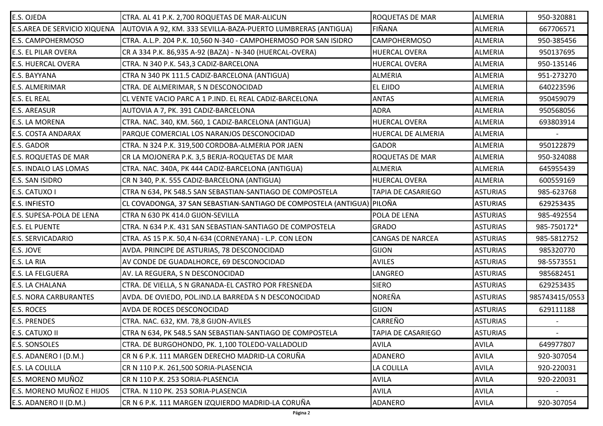| E.S. OJEDA                   | CTRA. AL 41 P.K. 2,700 ROQUETAS DE MAR-ALICUN                          | <b>ROQUETAS DE MAR</b>  | <b>ALMERIA</b>  | 950-320881     |
|------------------------------|------------------------------------------------------------------------|-------------------------|-----------------|----------------|
| E.S.AREA DE SERVICIO XIQUENA | AUTOVIA A 92, KM. 333 SEVILLA-BAZA-PUERTO LUMBRERAS (ANTIGUA)          | <b>FIÑANA</b>           | <b>ALMERIA</b>  | 667706571      |
| E.S. CAMPOHERMOSO            | CTRA. A.L.P. 204 P.K. 10,560 N-340 - CAMPOHERMOSO POR SAN ISIDRO       | <b>CAMPOHERMOSO</b>     | <b>ALMERIA</b>  | 950-385456     |
| E.S. EL PILAR OVERA          | CR A 334 P.K. 86,935 A-92 (BAZA) - N-340 (HUERCAL-OVERA)               | <b>HUERCAL OVERA</b>    | <b>ALMERIA</b>  | 950137695      |
| E.S. HUERCAL OVERA           | CTRA. N 340 P.K. 543,3 CADIZ-BARCELONA                                 | <b>HUERCAL OVERA</b>    | <b>ALMERIA</b>  | 950-135146     |
| E.S. BAYYANA                 | CTRA N 340 PK 111.5 CADIZ-BARCELONA (ANTIGUA)                          | <b>ALMERIA</b>          | <b>ALMERIA</b>  | 951-273270     |
| E.S. ALMERIMAR               | CTRA. DE ALMERIMAR, S N DESCONOCIDAD                                   | <b>EL EJIDO</b>         | <b>ALMERIA</b>  | 640223596      |
| E.S. EL REAL                 | CL VENTE VACIO PARC A 1 P.IND. EL REAL CADIZ-BARCELONA                 | <b>ANTAS</b>            | <b>ALMERIA</b>  | 950459079      |
| <b>E.S. AREASUR</b>          | AUTOVIA A 7, PK. 391 CADIZ-BARCELONA                                   | <b>ADRA</b>             | <b>ALMERIA</b>  | 950568056      |
| E.S. LA MORENA               | CTRA. NAC. 340, KM. 560, 1 CADIZ-BARCELONA (ANTIGUA)                   | <b>HUERCAL OVERA</b>    | <b>ALMERIA</b>  | 693803914      |
| E.S. COSTA ANDARAX           | PARQUE COMERCIAL LOS NARANJOS DESCONOCIDAD                             | HUERCAL DE ALMERIA      | <b>ALMERIA</b>  |                |
| E.S. GADOR                   | CTRA. N 324 P.K. 319,500 CORDOBA-ALMERIA POR JAEN                      | <b>GADOR</b>            | <b>ALMERIA</b>  | 950122879      |
| <b>E.S. ROQUETAS DE MAR</b>  | CR LA MOJONERA P.K. 3,5 BERJA-ROQUETAS DE MAR                          | <b>ROQUETAS DE MAR</b>  | <b>ALMERIA</b>  | 950-324088     |
| E.S. INDALO LAS LOMAS        | CTRA. NAC. 340A, PK 444 CADIZ-BARCELONA (ANTIGUA)                      | <b>ALMERIA</b>          | <b>ALMERIA</b>  | 645955439      |
| E.S. SAN ISIDRO              | CR N 340, P.K. 555 CADIZ-BARCELONA (ANTIGUA)                           | <b>HUERCAL OVERA</b>    | <b>ALMERIA</b>  | 600559169      |
| E.S. CATUXO I                | CTRA N 634, PK 548.5 SAN SEBASTIAN-SANTIAGO DE COMPOSTELA              | TAPIA DE CASARIEGO      | <b>ASTURIAS</b> | 985-623768     |
| <b>E.S. INFIESTO</b>         | CL COVADONGA, 37 SAN SEBASTIAN-SANTIAGO DE COMPOSTELA (ANTIGUA) PILOÑA |                         | <b>ASTURIAS</b> | 629253435      |
| E.S. SUPESA-POLA DE LENA     | CTRA N 630 PK 414.0 GIJON-SEVILLA                                      | POLA DE LENA            | <b>ASTURIAS</b> | 985-492554     |
| <b>E.S. EL PUENTE</b>        | CTRA. N 634 P.K. 431 SAN SEBASTIAN-SANTIAGO DE COMPOSTELA              | <b>GRADO</b>            | <b>ASTURIAS</b> | 985-750172*    |
| E.S. SERVICADARIO            | CTRA. AS 15 P.K. 50,4 N-634 (CORNEYANA) - L.P. CON LEON                | <b>CANGAS DE NARCEA</b> | <b>ASTURIAS</b> | 985-5812752    |
| E.S. JOVE                    | AVDA. PRINCIPE DE ASTURIAS, 78 DESCONOCIDAD                            | <b>GIJON</b>            | <b>ASTURIAS</b> | 985320770      |
| E.S. LA RIA                  | AV CONDE DE GUADALHORCE, 69 DESCONOCIDAD                               | <b>AVILES</b>           | <b>ASTURIAS</b> | 98-5573551     |
| E.S. LA FELGUERA             | AV. LA REGUERA, S N DESCONOCIDAD                                       | LANGREO                 | <b>ASTURIAS</b> | 985682451      |
| E.S. LA CHALANA              | CTRA. DE VIELLA, S N GRANADA-EL CASTRO POR FRESNEDA                    | <b>SIERO</b>            | <b>ASTURIAS</b> | 629253435      |
| <b>E.S. NORA CARBURANTES</b> | AVDA. DE OVIEDO, POL.IND.LA BARREDA S N DESCONOCIDAD                   | <b>NOREÑA</b>           | <b>ASTURIAS</b> | 985743415/0553 |
| E.S. ROCES                   | AVDA DE ROCES DESCONOCIDAD                                             | <b>GIJON</b>            | <b>ASTURIAS</b> | 629111188      |
| <b>E.S. PRENDES</b>          | CTRA. NAC. 632, KM. 78,8 GIJON-AVILES                                  | CARREÑO                 | <b>ASTURIAS</b> |                |
| E.S. CATUXO II               | JCTRA N 634, PK 548.5 SAN SEBASTIAN-SANTIAGO DE COMPOSTELA             | TAPIA DE CASARIEGO      | <b>ASTURIAS</b> |                |
| <b>E.S. SONSOLES</b>         | CTRA. DE BURGOHONDO, PK. 1,100 TOLEDO-VALLADOLID                       | <b>AVILA</b>            | <b>AVILA</b>    | 649977807      |
| E.S. ADANERO I (D.M.)        | CR N 6 P.K. 111 MARGEN DERECHO MADRID-LA CORUÑA                        | <b>ADANERO</b>          | <b>AVILA</b>    | 920-307054     |
| E.S. LA COLILLA              | CR N 110 P.K. 261,500 SORIA-PLASENCIA                                  | LA COLILLA              | <b>AVILA</b>    | 920-220031     |
| E.S. MORENO MUÑOZ            | CR N 110 P.K. 253 SORIA-PLASENCIA                                      | <b>AVILA</b>            | <b>AVILA</b>    | 920-220031     |
| E.S. MORENO MUÑOZ E HIJOS    | CTRA. N 110 PK. 253 SORIA-PLASENCIA                                    | <b>AVILA</b>            | <b>AVILA</b>    |                |
| E.S. ADANERO II (D.M.)       | CR N 6 P.K. 111 MARGEN IZQUIERDO MADRID-LA CORUÑA                      | ADANERO                 | <b>AVILA</b>    | 920-307054     |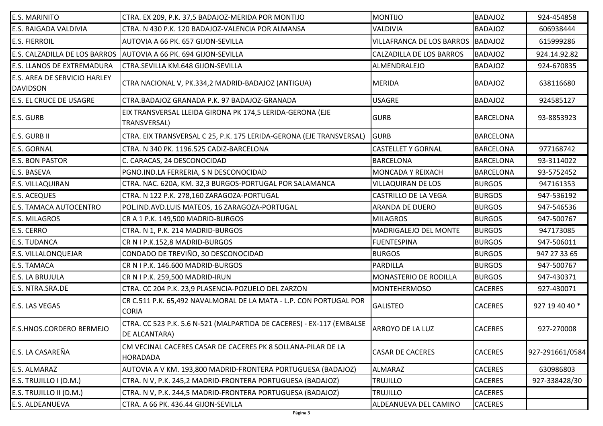| <b>E.S. MARINITO</b>                            | CTRA. EX 209, P.K. 37,5 BADAJOZ-MERIDA POR MONTIJO                                     | <b>MONTIJO</b>                    | <b>BADAJOZ</b>   | 924-454858      |
|-------------------------------------------------|----------------------------------------------------------------------------------------|-----------------------------------|------------------|-----------------|
| E.S. RAIGADA VALDIVIA                           | CTRA. N 430 P.K. 120 BADAJOZ-VALENCIA POR ALMANSA                                      | <b>VALDIVIA</b>                   | <b>BADAJOZ</b>   | 606938444       |
| <b>E.S. FIERROIL</b>                            | AUTOVIA A 66 PK. 657 GIJON-SEVILLA                                                     | VILLAFRANCA DE LOS BARROS BADAJOZ |                  | 615999286       |
|                                                 | E.S. CALZADILLA DE LOS BARROS  AUTOVIA A 66 PK. 694 GIJON-SEVILLA                      | <b>CALZADILLA DE LOS BARROS</b>   | <b>BADAJOZ</b>   | 924.14.92.82    |
| E.S. LLANOS DE EXTREMADURA                      | CTRA.SEVILLA KM.648 GIJON-SEVILLA                                                      | ALMENDRALEJO                      | <b>BADAJOZ</b>   | 924-670835      |
| E.S. AREA DE SERVICIO HARLEY<br><b>DAVIDSON</b> | CTRA NACIONAL V, PK.334,2 MADRID-BADAJOZ (ANTIGUA)                                     | <b>MERIDA</b>                     | <b>BADAJOZ</b>   | 638116680       |
| <b>E.S. EL CRUCE DE USAGRE</b>                  | CTRA.BADAJOZ GRANADA P.K. 97 BADAJOZ-GRANADA                                           | <b>USAGRE</b>                     | <b>BADAJOZ</b>   | 924585127       |
| <b>E.S. GURB</b>                                | EIX TRANSVERSAL LLEIDA GIRONA PK 174,5 LERIDA-GERONA (EJE<br>TRANSVERSAL)              | <b>GURB</b>                       | <b>BARCELONA</b> | 93-8853923      |
| E.S. GURB II                                    | CTRA. EIX TRANSVERSAL C 25, P.K. 175 LERIDA-GERONA (EJE TRANSVERSAL)                   | <b>GURB</b>                       | <b>BARCELONA</b> |                 |
| E.S. GORNAL                                     | CTRA. N 340 PK. 1196.525 CADIZ-BARCELONA                                               | <b>CASTELLET Y GORNAL</b>         | <b>BARCELONA</b> | 977168742       |
| <b>E.S. BON PASTOR</b>                          | C. CARACAS, 24 DESCONOCIDAD                                                            | <b>BARCELONA</b>                  | <b>BARCELONA</b> | 93-3114022      |
| E.S. BASEVA                                     | PGNO.IND.LA FERRERIA, S N DESCONOCIDAD                                                 | <b>MONCADA Y REIXACH</b>          | <b>BARCELONA</b> | 93-5752452      |
| E.S. VILLAQUIRAN                                | CTRA. NAC. 620A, KM. 32,3 BURGOS-PORTUGAL POR SALAMANCA                                | <b>VILLAQUIRAN DE LOS</b>         | <b>BURGOS</b>    | 947161353       |
| <b>E.S. ACEQUES</b>                             | CTRA. N 122 P.K. 278,160 ZARAGOZA-PORTUGAL                                             | <b>CASTRILLO DE LA VEGA</b>       | <b>BURGOS</b>    | 947-536192      |
| E.S. TAMACA AUTOCENTRO                          | POL.IND.AVD.LUIS MATEOS, 16 ZARAGOZA-PORTUGAL                                          | ARANDA DE DUERO                   | <b>BURGOS</b>    | 947-546536      |
| E.S. MILAGROS                                   | CR A 1 P.K. 149,500 MADRID-BURGOS                                                      | <b>MILAGROS</b>                   | <b>BURGOS</b>    | 947-500767      |
| E.S. CERRO                                      | CTRA. N 1, P.K. 214 MADRID-BURGOS                                                      | <b>MADRIGALEJO DEL MONTE</b>      | <b>BURGOS</b>    | 947173085       |
| <b>E.S. TUDANCA</b>                             | CR N I P.K.152,8 MADRID-BURGOS                                                         | <b>FUENTESPINA</b>                | <b>BURGOS</b>    | 947-506011      |
| E.S. VILLALONQUEJAR                             | CONDADO DE TREVIÑO, 30 DESCONOCIDAD                                                    | <b>BURGOS</b>                     | <b>BURGOS</b>    | 947 27 33 65    |
| E.S. TAMACA                                     | CR N I P.K. 146.600 MADRID-BURGOS                                                      | PARDILLA                          | <b>BURGOS</b>    | 947-500767      |
| E.S. LA BRUJULA                                 | CR N I P.K. 259,500 MADRID-IRUN                                                        | MONASTERIO DE RODILLA             | <b>BURGOS</b>    | 947-430371      |
| E.S. NTRA.SRA.DE                                | CTRA. CC 204 P.K. 23,9 PLASENCIA-POZUELO DEL ZARZON                                    | <b>MONTEHERMOSO</b>               | <b>CACERES</b>   | 927-430071      |
| E.S. LAS VEGAS                                  | CR C.511 P.K. 65,492 NAVALMORAL DE LA MATA - L.P. CON PORTUGAL POR<br><b>CORIA</b>     | <b>GALISTEO</b>                   | <b>CACERES</b>   | 927 19 40 40 *  |
| <b>E.S.HNOS.CORDERO BERMEJO</b>                 | CTRA. CC 523 P.K. 5.6 N-521 (MALPARTIDA DE CACERES) - EX-117 (EMBALSE<br>DE ALCANTARA) | ARROYO DE LA LUZ                  | <b>CACERES</b>   | 927-270008      |
| E.S. LA CASAREÑA                                | CM VECINAL CACERES CASAR DE CACERES PK 8 SOLLANA-PILAR DE LA<br>HORADADA               | <b>CASAR DE CACERES</b>           | <b>CACERES</b>   | 927-291661/0584 |
| E.S. ALMARAZ                                    | AUTOVIA A V KM. 193,800 MADRID-FRONTERA PORTUGUESA (BADAJOZ)                           | <b>ALMARAZ</b>                    | <b>CACERES</b>   | 630986803       |
| E.S. TRUJILLO I (D.M.)                          | CTRA. N V, P.K. 245,2 MADRID-FRONTERA PORTUGUESA (BADAJOZ)                             | <b>TRUJILLO</b>                   | <b>CACERES</b>   | 927-338428/30   |
| E.S. TRUJILLO II (D.M.)                         | CTRA. N V, P.K. 244,5 MADRID-FRONTERA PORTUGUESA (BADAJOZ)                             | <b>TRUJILLO</b>                   | <b>CACERES</b>   |                 |
| E.S. ALDEANUEVA                                 | CTRA. A 66 PK. 436.44 GIJON-SEVILLA                                                    | ALDEANUEVA DEL CAMINO             | <b>CACERES</b>   |                 |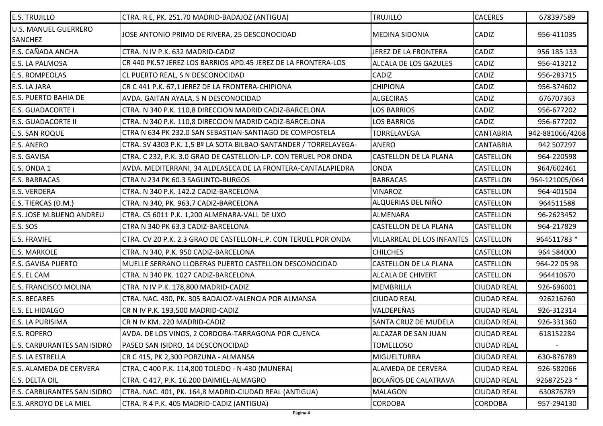| <b>E.S. TRUJILLO</b>                          | CTRA. R E, PK. 251.70 MADRID-BADAJOZ (ANTIGUA)                    | <b>TRUJILLO</b>                   | <b>CACERES</b>     | 678397589       |
|-----------------------------------------------|-------------------------------------------------------------------|-----------------------------------|--------------------|-----------------|
| <b>U.S. MANUEL GUERRERO</b><br><b>SANCHEZ</b> | JOSE ANTONIO PRIMO DE RIVERA, 25 DESCONOCIDAD                     | <b>MEDINA SIDONIA</b>             | CADIZ              | 956-411035      |
| <b>E.S. CAÑADA ANCHA</b>                      | CTRA. N IV P.K. 632 MADRID-CADIZ                                  | JEREZ DE LA FRONTERA              | CADIZ              | 956 185 133     |
| E.S. LA PALMOSA                               | CR 440 PK.57 JEREZ LOS BARRIOS APD.45 JEREZ DE LA FRONTERA-LOS    | <b>ALCALA DE LOS GAZULES</b>      | CADIZ              | 956-413212      |
| <b>E.S. ROMPEOLAS</b>                         | CL PUERTO REAL, S N DESCONOCIDAD                                  | <b>CADIZ</b>                      | <b>CADIZ</b>       | 956-283715      |
| E.S. LA JARA                                  | CR C 441 P.K. 67,1 JEREZ DE LA FRONTERA-CHIPIONA                  | <b>CHIPIONA</b>                   | <b>CADIZ</b>       | 956-374602      |
| <b>E.S. PUERTO BAHIA DE</b>                   | AVDA. GAITAN AYALA, S N DESCONOCIDAD                              | <b>ALGECIRAS</b>                  | CADIZ              | 676707363       |
| <b>E.S. GUADACORTE I</b>                      | CTRA. N 340 P.K. 110,8 DIRECCION MADRID CADIZ-BARCELONA           | LOS BARRIOS                       | CADIZ              | 956-677202      |
| <b>E.S. GUADACORTE II</b>                     | CTRA. N 340 P.K. 110,8 DIRECCION MADRID CADIZ-BARCELONA           | <b>LOS BARRIOS</b>                | CADIZ              | 956-677202      |
| <b>E.S. SAN ROQUE</b>                         | CTRA N 634 PK 232.0 SAN SEBASTIAN-SANTIAGO DE COMPOSTELA          | <b>TORRELAVEGA</b>                | <b>CANTABRIA</b>   | 942-881066/4268 |
| <b>E.S. ANERO</b>                             | CTRA. SV 4303 P.K. 1,5 Bº LA SOTA BILBAO-SANTANDER / TORRELAVEGA- | <b>ANERO</b>                      | <b>CANTABRIA</b>   | 942 507297      |
| E.S. GAVISA                                   | CTRA. C 232, P.K. 3.0 GRAO DE CASTELLON-L.P. CON TERUEL POR ONDA  | <b>CASTELLON DE LA PLANA</b>      | <b>CASTELLON</b>   | 964-220598      |
| E.S. ONDA 1                                   | AVDA. MEDITERRANI, 34 ALDEASECA DE LA FRONTERA-CANTALAPIEDRA      | <b>ONDA</b>                       | <b>CASTELLON</b>   | 964/602461      |
| <b>E.S. BARRACAS</b>                          | CTRA N 234 PK 60.3 SAGUNTO-BURGOS                                 | <b>BARRACAS</b>                   | <b>CASTELLON</b>   | 964-121005/064  |
| <b>E.S. VERDERA</b>                           | CTRA. N 340 P.K. 142.2 CADIZ-BARCELONA                            | <b>VINAROZ</b>                    | <b>CASTELLON</b>   | 964-401504      |
| E.S. TIERCAS (D.M.)                           | CTRA. N 340, PK. 963,7 CADIZ-BARCELONA                            | ALQUERIAS DEL NIÑO                | <b>CASTELLON</b>   | 964511588       |
| E.S. JOSE M.BUENO ANDREU                      | CTRA. CS 6011 P.K. 1,200 ALMENARA-VALL DE UXO                     | <b>ALMENARA</b>                   | <b>CASTELLON</b>   | 96-2623452      |
| E.S. SOS                                      | CTRA N 340 PK 63.3 CADIZ-BARCELONA                                | <b>CASTELLON DE LA PLANA</b>      | <b>CASTELLON</b>   | 964-217829      |
| <b>E.S. FRAVIFE</b>                           | CTRA. CV 20 P.K. 2.3 GRAO DE CASTELLON-L.P. CON TERUEL POR ONDA   | <b>VILLARREAL DE LOS INFANTES</b> | <b>CASTELLON</b>   | 964511783 *     |
| <b>E.S. MARKOLE</b>                           | CTRA. N 340, P.K. 950 CADIZ-BARCELONA                             | <b>CHILCHES</b>                   | <b>CASTELLON</b>   | 964 584000      |
| <b>E.S. GAVISA PUERTO</b>                     | MUELLE SERRANO LLOBERAS PUERTO CASTELLON DESCONOCIDAD             | <b>CASTELLON DE LA PLANA</b>      | <b>CASTELLON</b>   | 964-22 05 98    |
| E.S. EL CAM                                   | CTRA. N 340 PK. 1027 CADIZ-BARCELONA                              | <b>ALCALA DE CHIVERT</b>          | <b>CASTELLON</b>   | 964410670       |
| <b>E.S. FRANCISCO MOLINA</b>                  | CTRA. N IV P.K. 178,800 MADRID-CADIZ                              | <b>MEMBRILLA</b>                  | <b>CIUDAD REAL</b> | 926-696001      |
| <b>E.S. BECARES</b>                           | CTRA. NAC. 430, PK. 305 BADAJOZ-VALENCIA POR ALMANSA              | <b>CIUDAD REAL</b>                | <b>CIUDAD REAL</b> | 926216260       |
| <b>E.S. EL HIDALGO</b>                        | CR N IV P.K. 193,500 MADRID-CADIZ                                 | VALDEPEÑAS                        | <b>CIUDAD REAL</b> | 926-312314      |
| <b>E.S. LA PURISIMA</b>                       | CR N IV KM. 220 MADRID-CADIZ                                      | <b>SANTA CRUZ DE MUDELA</b>       | <b>CIUDAD REAL</b> | 926-331360      |
| E.S. ROPERO                                   | AVDA. DE LOS VINOS, 2 CORDOBA-TARRAGONA POR CUENCA                | ALCAZAR DE SAN JUAN               | <b>CIUDAD REAL</b> | 618152284       |
| <b>E.S. CARBURANTES SAN ISIDRO</b>            | PASEO SAN ISIDRO, 14 DESCONOCIDAD                                 | TOMELLOSO                         | <b>CIUDAD REAL</b> |                 |
| <b>E.S. LA ESTRELLA</b>                       | CR C 415, PK 2,300 PORZUNA - ALMANSA                              | <b>MIGUELTURRA</b>                | <b>CIUDAD REAL</b> | 630-876789      |
| <b>E.S. ALAMEDA DE CERVERA</b>                | CTRA. C 400 P.K. 114,800 TOLEDO - N-430 (MUNERA)                  | <b>ALAMEDA DE CERVERA</b>         | <b>CIUDAD REAL</b> | 926-582066      |
| <b>E.S. DELTA OIL</b>                         | CTRA. C 417, P.K. 16.200 DAIMIEL-ALMAGRO                          | <b>BOLAÑOS DE CALATRAVA</b>       | <b>CIUDAD REAL</b> | 926872523 *     |
| <b>E.S. CARBURANTES SAN ISIDRO</b>            | CTRA. NAC. 401, PK. 164,8 MADRID-CIUDAD REAL (ANTIGUA)            | <b>MALAGON</b>                    | <b>CIUDAD REAL</b> | 630876789       |
| E.S. ARROYO DE LA MIEL                        | CTRA. R 4 P.K. 405 MADRID-CADIZ (ANTIGUA)                         | <b>CORDOBA</b>                    | <b>CORDOBA</b>     | 957-294130      |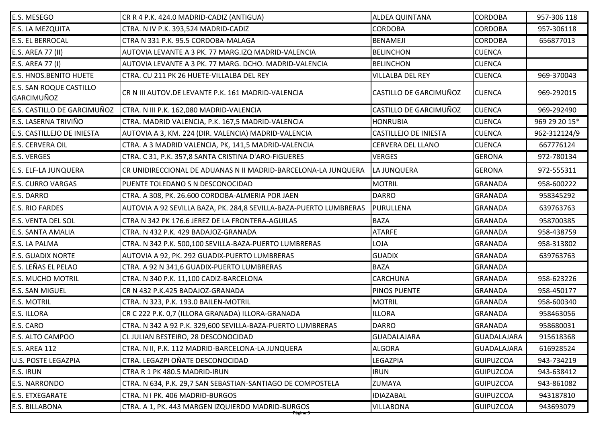| E.S. MESEGO                                  | CR R 4 P.K. 424.0 MADRID-CADIZ (ANTIGUA)                           | <b>ALDEA QUINTANA</b>        | <b>CORDOBA</b>     | 957-306 118   |
|----------------------------------------------|--------------------------------------------------------------------|------------------------------|--------------------|---------------|
| E.S. LA MEZQUITA                             | CTRA. N IV P.K. 393,524 MADRID-CADIZ                               | <b>CORDOBA</b>               | <b>CORDOBA</b>     | 957-306118    |
| E.S. EL BERROCAL                             | CTRA N 331 P.K. 95.5 CORDOBA-MALAGA                                | <b>BENAMEJI</b>              | <b>CORDOBA</b>     | 656877013     |
| E.S. AREA 77 (II)                            | AUTOVIA LEVANTE A 3 PK. 77 MARG.IZQ MADRID-VALENCIA                | <b>BELINCHON</b>             | <b>CUENCA</b>      |               |
| E.S. AREA 77 (I)                             | AUTOVIA LEVANTE A 3 PK. 77 MARG. DCHO. MADRID-VALENCIA             | <b>BELINCHON</b>             | <b>CUENCA</b>      |               |
| <b>E.S. HNOS.BENITO HUETE</b>                | CTRA. CU 211 PK 26 HUETE-VILLALBA DEL REY                          | <b>VILLALBA DEL REY</b>      | <b>CUENCA</b>      | 969-370043    |
| E.S. SAN ROQUE CASTILLO<br><b>GARCIMUÑOZ</b> | CR N III AUTOV.DE LEVANTE P.K. 161 MADRID-VALENCIA                 | CASTILLO DE GARCIMUÑOZ       | <b>CUENCA</b>      | 969-292015    |
| E.S. CASTILLO DE GARCIMUÑOZ                  | CTRA. N III P.K. 162,080 MADRID-VALENCIA                           | CASTILLO DE GARCIMUÑOZ       | <b>CUENCA</b>      | 969-292490    |
| E.S. LASERNA TRIVIÑO                         | CTRA. MADRID VALENCIA, P.K. 167,5 MADRID-VALENCIA                  | <b>HONRUBIA</b>              | <b>CUENCA</b>      | 969 29 20 15* |
| E.S. CASTILLEJO DE INIESTA                   | AUTOVIA A 3, KM. 224 (DIR. VALENCIA) MADRID-VALENCIA               | <b>CASTILLEJO DE INIESTA</b> | <b>CUENCA</b>      | 962-312124/9  |
| E.S. CERVERA OIL                             | CTRA. A 3 MADRID VALENCIA, PK, 141,5 MADRID-VALENCIA               | <b>CERVERA DEL LLANO</b>     | <b>CUENCA</b>      | 667776124     |
| E.S. VERGES                                  | CTRA. C 31, P.K. 357,8 SANTA CRISTINA D'ARO-FIGUERES               | <b>VERGES</b>                | <b>GERONA</b>      | 972-780134    |
| E.S. ELF-LA JUNQUERA                         | CR UNIDIRECCIONAL DE ADUANAS N II MADRID-BARCELONA-LA JUNQUERA     | LA JUNQUERA                  | <b>GERONA</b>      | 972-555311    |
| <b>E.S. CURRO VARGAS</b>                     | PUENTE TOLEDANO S N DESCONOCIDAD                                   | <b>MOTRIL</b>                | <b>GRANADA</b>     | 958-600222    |
| E.S. DARRO                                   | CTRA. A 308, PK. 26.600 CORDOBA-ALMERIA POR JAEN                   | <b>DARRO</b>                 | <b>GRANADA</b>     | 958345292     |
| E.S. RIO FARDES                              | AUTOVIA A 92 SEVILLA BAZA, PK. 284,8 SEVILLA-BAZA-PUERTO LUMBRERAS | PURULLENA                    | <b>GRANADA</b>     | 639763763     |
| E.S. VENTA DEL SOL                           | CTRA N 342 PK 176.6 JEREZ DE LA FRONTERA-AGUILAS                   | <b>BAZA</b>                  | <b>GRANADA</b>     | 958700385     |
| E.S. SANTA AMALIA                            | CTRA. N 432 P.K. 429 BADAJOZ-GRANADA                               | <b>ATARFE</b>                | <b>GRANADA</b>     | 958-438759    |
| E.S. LA PALMA                                | CTRA. N 342 P.K. 500,100 SEVILLA-BAZA-PUERTO LUMBRERAS             | LOJA                         | <b>GRANADA</b>     | 958-313802    |
| <b>E.S. GUADIX NORTE</b>                     | AUTOVIA A 92, PK. 292 GUADIX-PUERTO LUMBRERAS                      | <b>GUADIX</b>                | <b>GRANADA</b>     | 639763763     |
| E.S. LEÑAS EL PELAO                          | CTRA. A 92 N 341,6 GUADIX-PUERTO LUMBRERAS                         | <b>BAZA</b>                  | <b>GRANADA</b>     |               |
| <b>E.S. MUCHO MOTRIL</b>                     | CTRA. N 340 P.K. 11,100 CADIZ-BARCELONA                            | <b>CARCHUNA</b>              | <b>GRANADA</b>     | 958-623226    |
| E.S. SAN MIGUEL                              | CR N 432 P.K.425 BADAJOZ-GRANADA                                   | PINOS PUENTE                 | <b>GRANADA</b>     | 958-450177    |
| <b>E.S. MOTRIL</b>                           | CTRA. N 323, P.K. 193.0 BAILEN-MOTRIL                              | <b>MOTRIL</b>                | <b>GRANADA</b>     | 958-600340    |
| E.S. ILLORA                                  | CR C 222 P.K. 0,7 (ILLORA GRANADA) ILLORA-GRANADA                  | <b>ILLORA</b>                | <b>GRANADA</b>     | 958463056     |
| E.S. CARO                                    | CTRA. N 342 A 92 P.K. 329,600 SEVILLA-BAZA-PUERTO LUMBRERAS        | <b>DARRO</b>                 | <b>GRANADA</b>     | 958680031     |
| E.S. ALTO CAMPOO                             | CL JULIAN BESTEIRO, 28 DESCONOCIDAD                                | GUADALAJARA                  | <b>GUADALAJARA</b> | 915618368     |
| <b>E.S. AREA 112</b>                         | CTRA. N II, P.K. 112 MADRID-BARCELONA-LA JUNQUERA                  | <b>ALGORA</b>                | <b>GUADALAJARA</b> | 616928524     |
| U.S. POSTE LEGAZPIA                          | CTRA. LEGAZPI OÑATE DESCONOCIDAD                                   | LEGAZPIA                     | <b>GUIPUZCOA</b>   | 943-734219    |
| E.S. IRUN                                    | CTRA R 1 PK 480.5 MADRID-IRUN                                      | <b>IRUN</b>                  | <b>GUIPUZCOA</b>   | 943-638412    |
| E.S. NARRONDO                                | CTRA. N 634, P.K. 29,7 SAN SEBASTIAN-SANTIAGO DE COMPOSTELA        | ZUMAYA                       | <b>GUIPUZCOA</b>   | 943-861082    |
| <b>E.S. ETXEGARATE</b>                       | CTRA. N I PK. 406 MADRID-BURGOS                                    | <b>IDIAZABAL</b>             | <b>GUIPUZCOA</b>   | 943187810     |
| E.S. BILLABONA                               | CTRA. A 1, PK. 443 MARGEN IZQUIERDO MADRID-BURGOS<br>Página 5      | <b>VILLABONA</b>             | <b>GUIPUZCOA</b>   | 943693079     |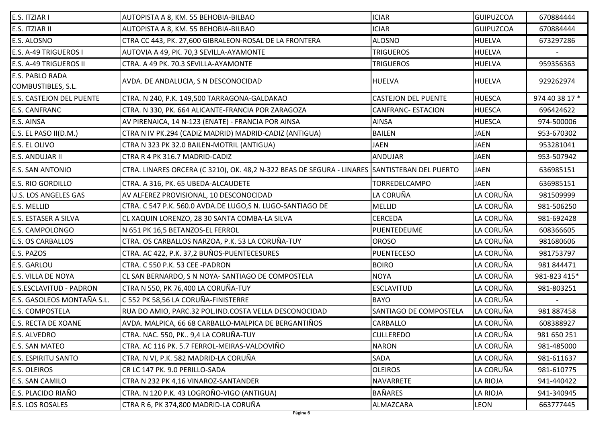| E.S. ITZIAR I                         | AUTOPISTA A 8, KM. 55 BEHOBIA-BILBAO                                                          | <b>ICIAR</b>               | <b>GUIPUZCOA</b> | 670884444      |
|---------------------------------------|-----------------------------------------------------------------------------------------------|----------------------------|------------------|----------------|
| E.S. ITZIAR II                        | AUTOPISTA A 8, KM. 55 BEHOBIA-BILBAO                                                          | <b>ICIAR</b>               | <b>GUIPUZCOA</b> | 670884444      |
| E.S. ALOSNO                           | CTRA CC 443, PK. 27,600 GIBRALEON-ROSAL DE LA FRONTERA                                        | <b>ALOSNO</b>              | <b>HUELVA</b>    | 673297286      |
| E.S. A-49 TRIGUEROS I                 | AUTOVIA A 49, PK. 70,3 SEVILLA-AYAMONTE                                                       | <b>TRIGUEROS</b>           | <b>HUELVA</b>    |                |
| E.S. A-49 TRIGUEROS II                | CTRA. A 49 PK. 70.3 SEVILLA-AYAMONTE                                                          | <b>TRIGUEROS</b>           | <b>HUELVA</b>    | 959356363      |
| E.S. PABLO RADA<br>COMBUSTIBLES, S.L. | AVDA. DE ANDALUCIA, S N DESCONOCIDAD                                                          | <b>HUELVA</b>              | <b>HUELVA</b>    | 929262974      |
| E.S. CASTEJON DEL PUENTE              | CTRA. N 240, P.K. 149,500 TARRAGONA-GALDAKAO                                                  | <b>CASTEJON DEL PUENTE</b> | <b>HUESCA</b>    | 974 40 38 17 * |
| E.S. CANFRANC                         | CTRA. N 330, PK. 664 ALICANTE-FRANCIA POR ZARAGOZA                                            | <b>CANFRANC- ESTACION</b>  | <b>HUESCA</b>    | 696424622      |
| E.S. AINSA                            | AV PIRENAICA, 14 N-123 (ENATE) - FRANCIA POR AINSA                                            | <b>AINSA</b>               | <b>HUESCA</b>    | 974-500006     |
| E.S. EL PASO II(D.M.)                 | CTRA N IV PK.294 (CADIZ MADRID) MADRID-CADIZ (ANTIGUA)                                        | <b>BAILEN</b>              | <b>JAEN</b>      | 953-670302     |
| E.S. EL OLIVO                         | CTRA N 323 PK 32.0 BAILEN-MOTRIL (ANTIGUA)                                                    | <b>JAEN</b>                | <b>JAEN</b>      | 953281041      |
| E.S. ANDUJAR II                       | CTRA R 4 PK 316.7 MADRID-CADIZ                                                                | <b>ANDUJAR</b>             | <b>JAEN</b>      | 953-507942     |
| E.S. SAN ANTONIO                      | CTRA. LINARES ORCERA (C 3210), OK. 48,2 N-322 BEAS DE SEGURA - LINARES SANTISTEBAN DEL PUERTO |                            | <b>JAEN</b>      | 636985151      |
| <b>E.S. RIO GORDILLO</b>              | CTRA. A 316, PK. 65 UBEDA-ALCAUDETE                                                           | TORREDELCAMPO              | <b>JAEN</b>      | 636985151      |
| U.S. LOS ANGELES GAS                  | AV ALFEREZ PROVISIONAL, 10 DESCONOCIDAD                                                       | LA CORUÑA                  | LA CORUÑA        | 981509999      |
| E.S. MELLID                           | CTRA. C 547 P.K. 560.0 AVDA.DE LUGO,S N. LUGO-SANTIAGO DE                                     | <b>MELLID</b>              | LA CORUÑA        | 981-506250     |
| E.S. ESTASER A SILVA                  | CL XAQUIN LORENZO, 28 30 SANTA COMBA-LA SILVA                                                 | <b>CERCEDA</b>             | LA CORUÑA        | 981-692428     |
| E.S. CAMPOLONGO                       | N 651 PK 16,5 BETANZOS-EL FERROL                                                              | PUENTEDEUME                | LA CORUÑA        | 608366605      |
| E.S. OS CARBALLOS                     | CTRA. OS CARBALLOS NARZOA, P.K. 53 LA CORUÑA-TUY                                              | <b>OROSO</b>               | LA CORUÑA        | 981680606      |
| E.S. PAZOS                            | CTRA. AC 422, P.K. 37,2 BUÑOS-PUENTECESURES                                                   | PUENTECESO                 | LA CORUÑA        | 981753797      |
| E.S. GARLOU                           | CTRA. C 550 P.K. 53 CEE - PADRON                                                              | <b>BOIRO</b>               | LA CORUÑA        | 981 844471     |
| E.S. VILLA DE NOYA                    | CL SAN BERNARDO, S N NOYA- SANTIAGO DE COMPOSTELA                                             | <b>NOYA</b>                | LA CORUÑA        | 981-823 415*   |
| E.S.ESCLAVITUD - PADRON               | CTRA N 550, PK 76,400 LA CORUÑA-TUY                                                           | <b>ESCLAVITUD</b>          | LA CORUÑA        | 981-803251     |
| E.S. GASOLEOS MONTAÑA S.L.            | C 552 PK 58,56 LA CORUÑA-FINISTERRE                                                           | <b>BAYO</b>                | LA CORUÑA        |                |
| E.S. COMPOSTELA                       | RUA DO AMIO, PARC.32 POL.IND.COSTA VELLA DESCONOCIDAD                                         | SANTIAGO DE COMPOSTELA     | LA CORUÑA        | 981 887458     |
| <b>E.S. RECTA DE XOANE</b>            | AVDA. MALPICA, 66 68 CARBALLO-MALPICA DE BERGANTIÑOS                                          | CARBALLO                   | LA CORUÑA        | 608388927      |
| E.S. ALVEDRO                          | CTRA. NAC. 550, PK 9,4 LA CORUÑA-TUY                                                          | <b>CULLEREDO</b>           | LA CORUÑA        | 981 650 251    |
| E.S. SAN MATEO                        | CTRA. AC 116 PK. 5.7 FERROL-MEIRAS-VALDOVIÑO                                                  | <b>NARON</b>               | LA CORUÑA        | 981-485000     |
| E.S. ESPIRITU SANTO                   | CTRA. N VI, P.K. 582 MADRID-LA CORUÑA                                                         | <b>SADA</b>                | LA CORUÑA        | 981-611637     |
| E.S. OLEIROS                          | CR LC 147 PK. 9.0 PERILLO-SADA                                                                | <b>OLEIROS</b>             | LA CORUÑA        | 981-610775     |
| E.S. SAN CAMILO                       | CTRA N 232 PK 4,16 VINAROZ-SANTANDER                                                          | <b>NAVARRETE</b>           | LA RIOJA         | 941-440422     |
| E.S. PLACIDO RIAÑO                    | CTRA. N 120 P.K. 43 LOGROÑO-VIGO (ANTIGUA)                                                    | <b>BAÑARES</b>             | LA RIOJA         | 941-340945     |
| E.S. LOS ROSALES                      | CTRA R 6, PK 374,800 MADRID-LA CORUÑA                                                         | ALMAZCARA                  | <b>LEON</b>      | 663777445      |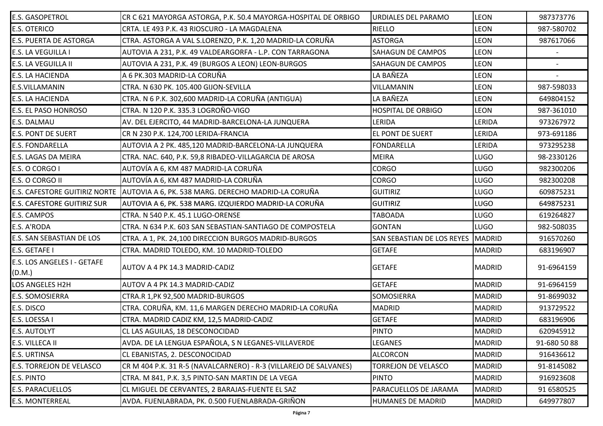| <b>E.S. GASOPETROL</b>                | CR C 621 MAYORGA ASTORGA, P.K. 50.4 MAYORGA-HOSPITAL DE ORBIGO                     | <b>URDIALES DEL PARAMO</b> | <b>LEON</b>   | 987373776    |
|---------------------------------------|------------------------------------------------------------------------------------|----------------------------|---------------|--------------|
| <b>E.S. OTERICO</b>                   | CRTA. LE 493 P.K. 43 RIOSCURO - LA MAGDALENA                                       | <b>RIELLO</b>              | <b>LEON</b>   | 987-580702   |
| E.S. PUERTA DE ASTORGA                | CTRA. ASTORGA A VAL S.LORENZO, P.K. 1,20 MADRID-LA CORUÑA                          | <b>ASTORGA</b>             | <b>LEON</b>   | 987617066    |
| E.S. LA VEGUILLA I                    | AUTOVIA A 231, P.K. 49 VALDEARGORFA - L.P. CON TARRAGONA                           | <b>SAHAGUN DE CAMPOS</b>   | <b>LEON</b>   |              |
| <b>E.S. LA VEGUILLA II</b>            | AUTOVIA A 231, P.K. 49 (BURGOS A LEON) LEON-BURGOS                                 | <b>SAHAGUN DE CAMPOS</b>   | <b>LEON</b>   |              |
| <b>E.S. LA HACIENDA</b>               | A 6 PK.303 MADRID-LA CORUÑA                                                        | LA BAÑEZA                  | <b>LEON</b>   |              |
| E.S.VILLAMANIN                        | CTRA. N 630 PK. 105.400 GIJON-SEVILLA                                              | VILLAMANIN                 | <b>LEON</b>   | 987-598033   |
| E.S. LA HACIENDA                      | CTRA. N 6 P.K. 302,600 MADRID-LA CORUÑA (ANTIGUA)                                  | LA BAÑEZA                  | <b>LEON</b>   | 649804152    |
| E.S. EL PASO HONROSO                  | CTRA. N 120 P.K. 335.3 LOGROÑO-VIGO                                                | <b>HOSPITAL DE ORBIGO</b>  | <b>LEON</b>   | 987-361010   |
| E.S. DALMAU                           | AV. DEL EJERCITO, 44 MADRID-BARCELONA-LA JUNQUERA                                  | LERIDA                     | LERIDA        | 973267972    |
| <b>E.S. PONT DE SUERT</b>             | CR N 230 P.K. 124,700 LERIDA-FRANCIA                                               | <b>EL PONT DE SUERT</b>    | LERIDA        | 973-691186   |
| <b>E.S. FONDARELLA</b>                | AUTOVIA A 2 PK. 485,120 MADRID-BARCELONA-LA JUNQUERA                               | <b>FONDARELLA</b>          | <b>LERIDA</b> | 973295238    |
| E.S. LAGAS DA MEIRA                   | CTRA. NAC. 640, P.K. 59,8 RIBADEO-VILLAGARCIA DE AROSA                             | <b>MEIRA</b>               | <b>LUGO</b>   | 98-2330126   |
| E.S. O CORGO I                        | AUTOVÍA A 6, KM 487 MADRID-LA CORUÑA                                               | <b>CORGO</b>               | <b>LUGO</b>   | 982300206    |
| E.S. O CORGO II                       | AUTOVÍA A 6, KM 487 MADRID-LA CORUÑA                                               | <b>CORGO</b>               | <b>LUGO</b>   | 982300208    |
|                                       | E.S. CAFESTORE GUITIRIZ NORTE  AUTOVIA A 6, PK. 538 MARG. DERECHO MADRID-LA CORUÑA | <b>GUITIRIZ</b>            | <b>LUGO</b>   | 609875231    |
| <b>E.S. CAFESTORE GUITIRIZ SUR</b>    | AUTOVIA A 6, PK. 538 MARG. IZQUIERDO MADRID-LA CORUÑA                              | <b>GUITIRIZ</b>            | <b>LUGO</b>   | 649875231    |
| <b>E.S. CAMPOS</b>                    | CTRA. N 540 P.K. 45.1 LUGO-ORENSE                                                  | <b>TABOADA</b>             | LUGO          | 619264827    |
| E.S. A'RODA                           | CTRA. N 634 P.K. 603 SAN SEBASTIAN-SANTIAGO DE COMPOSTELA                          | <b>GONTAN</b>              | <b>LUGO</b>   | 982-508035   |
| E.S. SAN SEBASTIAN DE LOS             | CTRA. A 1, PK. 24,100 DIRECCION BURGOS MADRID-BURGOS                               | SAN SEBASTIAN DE LOS REYES | <b>MADRID</b> | 916570260    |
| E.S. GETAFE I                         | CTRA. MADRID TOLEDO, KM. 10 MADRID-TOLEDO                                          | <b>GETAFE</b>              | <b>MADRID</b> | 683196907    |
| E.S. LOS ANGELES I - GETAFE<br>(D.M.) | AUTOV A 4 PK 14.3 MADRID-CADIZ                                                     | <b>GETAFE</b>              | <b>MADRID</b> | 91-6964159   |
| LOS ANGELES H2H                       | AUTOV A 4 PK 14.3 MADRID-CADIZ                                                     | <b>GETAFE</b>              | <b>MADRID</b> | 91-6964159   |
| <b>E.S. SOMOSIERRA</b>                | CTRA.R 1, PK 92, 500 MADRID-BURGOS                                                 | <b>SOMOSIERRA</b>          | <b>MADRID</b> | 91-8699032   |
| E.S. DISCO                            | CTRA. CORUÑA, KM. 11,6 MARGEN DERECHO MADRID-LA CORUÑA                             | <b>MADRID</b>              | <b>MADRID</b> | 913729522    |
| E.S. LOESSA I                         | CTRA. MADRID CADIZ KM, 12,5 MADRID-CADIZ                                           | <b>GETAFE</b>              | <b>MADRID</b> | 683196906    |
| <b>E.S. AUTOLYT</b>                   | CL LAS AGUILAS, 18 DESCONOCIDAD                                                    | <b>PINTO</b>               | <b>MADRID</b> | 620945912    |
| E.S. VILLECA II                       | AVDA. DE LA LENGUA ESPAÑOLA, S N LEGANES-VILLAVERDE                                | <b>LEGANES</b>             | <b>MADRID</b> | 91-680 50 88 |
| E.S. URTINSA                          | CL EBANISTAS, 2. DESCONOCIDAD                                                      | <b>ALCORCON</b>            | <b>MADRID</b> | 916436612    |
| <b>E.S. TORREJON DE VELASCO</b>       | CR M 404 P.K. 31 R-5 (NAVALCARNERO) - R-3 (VILLAREJO DE SALVANES)                  | <b>TORREJON DE VELASCO</b> | <b>MADRID</b> | 91-8145082   |
| E.S. PINTO                            | CTRA. M 841, P.K. 3,5 PINTO-SAN MARTIN DE LA VEGA                                  | <b>PINTO</b>               | <b>MADRID</b> | 916923608    |
| E.S. PARACUELLOS                      | CL MIGUEL DE CERVANTES, 2 BARAJAS-FUENTE EL SAZ                                    | PARACUELLOS DE JARAMA      | <b>MADRID</b> | 91 6580525   |
| E.S. MONTERREAL                       | AVDA. FUENLABRADA, PK. 0.500 FUENLABRADA-GRIÑON                                    | <b>HUMANES DE MADRID</b>   | <b>MADRID</b> | 649977807    |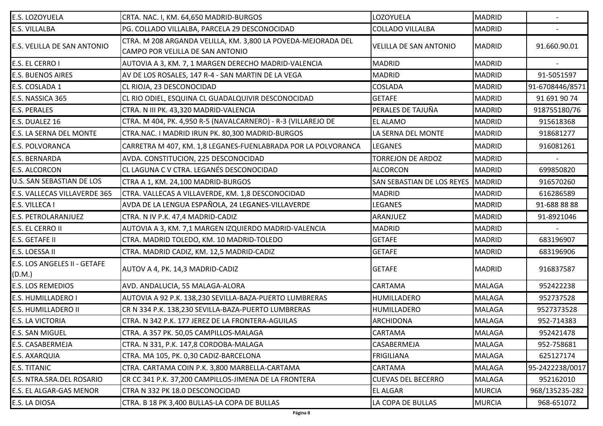| E.S. LOZOYUELA                         | CRTA. NAC. I, KM. 64,650 MADRID-BURGOS                                                            | LOZOYUELA                         | <b>MADRID</b> |                 |
|----------------------------------------|---------------------------------------------------------------------------------------------------|-----------------------------------|---------------|-----------------|
| <b>E.S. VILLALBA</b>                   | PG. COLLADO VILLALBA, PARCELA 29 DESCONOCIDAD                                                     | <b>COLLADO VILLALBA</b>           | <b>MADRID</b> |                 |
| E.S. VELILLA DE SAN ANTONIO            | CTRA. M 208 ARGANDA VELILLA, KM. 3,800 LA POVEDA-MEJORADA DEL<br>CAMPO POR VELILLA DE SAN ANTONIO | VELILLA DE SAN ANTONIO            | <b>MADRID</b> | 91.660.90.01    |
| E.S. EL CERRO I                        | AUTOVIA A 3, KM. 7, 1 MARGEN DERECHO MADRID-VALENCIA                                              | <b>MADRID</b>                     | <b>MADRID</b> |                 |
| <b>E.S. BUENOS AIRES</b>               | AV DE LOS ROSALES, 147 R-4 - SAN MARTIN DE LA VEGA                                                | <b>MADRID</b>                     | <b>MADRID</b> | 91-5051597      |
| E.S. COSLADA 1                         | CL RIOJA, 23 DESCONOCIDAD                                                                         | <b>COSLADA</b>                    | <b>MADRID</b> | 91-6708446/8571 |
| E.S. NASSICA 365                       | CL RIO ODIEL, ESQUINA CL GUADALQUIVIR DESCONOCIDAD                                                | <b>GETAFE</b>                     | <b>MADRID</b> | 91 691 90 74    |
| <b>E.S. PERALES</b>                    | CTRA. N III PK. 43,320 MADRID-VALENCIA                                                            | PERALES DE TAJUÑA                 | <b>MADRID</b> | 918755180/76    |
| E.S. DUALEZ 16                         | CTRA. M 404, PK. 4,950 R-5 (NAVALCARNERO) - R-3 (VILLAREJO DE                                     | <b>EL ALAMO</b>                   | <b>MADRID</b> | 915618368       |
| E.S. LA SERNA DEL MONTE                | CTRA.NAC. I MADRID IRUN PK. 80,300 MADRID-BURGOS                                                  | LA SERNA DEL MONTE                | <b>MADRID</b> | 918681277       |
| E.S. POLVORANCA                        | CARRETRA M 407, KM. 1,8 LEGANES-FUENLABRADA POR LA POLVORANCA                                     | <b>LEGANES</b>                    | <b>MADRID</b> | 916081261       |
| <b>E.S. BERNARDA</b>                   | AVDA. CONSTITUCION, 225 DESCONOCIDAD                                                              | <b>TORREJON DE ARDOZ</b>          | <b>MADRID</b> |                 |
| <b>E.S. ALCORCON</b>                   | CL LAGUNA C V CTRA. LEGANÉS DESCONOCIDAD                                                          | <b>ALCORCON</b>                   | <b>MADRID</b> | 699850820       |
| <b>U.S. SAN SEBASTIAN DE LOS</b>       | CTRA A 1, KM. 24,100 MADRID-BURGOS                                                                | <b>SAN SEBASTIAN DE LOS REYES</b> | MADRID        | 916570260       |
| E.S. VALLECAS VILLAVERDE 365           | CTRA. VALLECAS A VILLAVERDE, KM. 1,8 DESCONOCIDAD                                                 | <b>MADRID</b>                     | <b>MADRID</b> | 616286589       |
| <b>E.S. VILLECA I</b>                  | AVDA DE LA LENGUA ESPAÑOLA, 24 LEGANES-VILLAVERDE                                                 | <b>LEGANES</b>                    | <b>MADRID</b> | 91-688 88 88    |
| <b>E.S. PETROLARANJUEZ</b>             | CTRA. N IV P.K. 47,4 MADRID-CADIZ                                                                 | ARANJUEZ                          | <b>MADRID</b> | 91-8921046      |
| E.S. EL CERRO II                       | AUTOVIA A 3, KM. 7,1 MARGEN IZQUIERDO MADRID-VALENCIA                                             | <b>MADRID</b>                     | <b>MADRID</b> |                 |
| <b>E.S. GETAFE II</b>                  | CTRA. MADRID TOLEDO, KM. 10 MADRID-TOLEDO                                                         | <b>GETAFE</b>                     | <b>MADRID</b> | 683196907       |
| E.S. LOESSA II                         | CTRA. MADRID CADIZ, KM. 12,5 MADRID-CADIZ                                                         | <b>GETAFE</b>                     | <b>MADRID</b> | 683196906       |
| E.S. LOS ANGELES II - GETAFE<br>(D.M.) | AUTOV A 4, PK. 14,3 MADRID-CADIZ                                                                  | <b>GETAFE</b>                     | <b>MADRID</b> | 916837587       |
| <b>E.S. LOS REMEDIOS</b>               | AVD. ANDALUCIA, 55 MALAGA-ALORA                                                                   | <b>CARTAMA</b>                    | <b>MALAGA</b> | 952422238       |
| E.S. HUMILLADERO I                     | AUTOVIA A 92 P.K. 138,230 SEVILLA-BAZA-PUERTO LUMBRERAS                                           | <b>HUMILLADERO</b>                | <b>MALAGA</b> | 952737528       |
| <b>E.S. HUMILLADERO II</b>             | CR N 334 P.K. 138,230 SEVILLA-BAZA-PUERTO LUMBRERAS                                               | <b>HUMILLADERO</b>                | <b>MALAGA</b> | 9527373528      |
| E.S. LA VICTORIA                       | CTRA. N 342 P.K. 177 JEREZ DE LA FRONTERA-AGUILAS                                                 | <b>ARCHIDONA</b>                  | <b>MALAGA</b> | 952-714383      |
| <b>E.S. SAN MIGUEL</b>                 | CTRA. A 357 PK. 50,05 CAMPILLOS-MALAGA                                                            | <b>CARTAMA</b>                    | <b>MALAGA</b> | 952421478       |
| E.S. CASABERMEJA                       | CTRA. N 331, P.K. 147,8 CORDOBA-MALAGA                                                            | CASABERMEJA                       | <b>MALAGA</b> | 952-758681      |
| E.S. AXARQUIA                          | CTRA. MA 105, PK. 0,30 CADIZ-BARCELONA                                                            | <b>FRIGILIANA</b>                 | <b>MALAGA</b> | 625127174       |
| E.S. TITANIC                           | CTRA. CARTAMA COIN P.K. 3,800 MARBELLA-CARTAMA                                                    | <b>CARTAMA</b>                    | <b>MALAGA</b> | 95-2422238/0017 |
| E.S. NTRA.SRA.DEL ROSARIO              | CR CC 341 P.K. 37,200 CAMPILLOS-JIMENA DE LA FRONTERA                                             | <b>CUEVAS DEL BECERRO</b>         | <b>MALAGA</b> | 952162010       |
| E.S. EL ALGAR-GAS MENOR                | CTRA N 332 PK 18.0 DESCONOCIDAD                                                                   | <b>EL ALGAR</b>                   | <b>MURCIA</b> | 968/135235-282  |
| E.S. LA DIOSA                          | CTRA. B 18 PK 3,400 BULLAS-LA COPA DE BULLAS                                                      | LA COPA DE BULLAS                 | <b>MURCIA</b> | 968-651072      |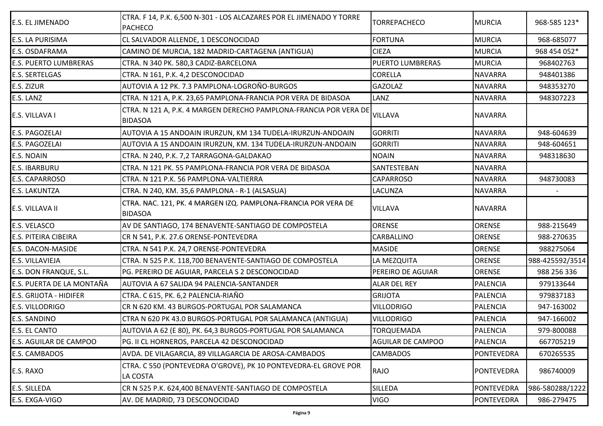| E.S. EL JIMENADO              | CTRA. F 14, P.K. 6,500 N-301 - LOS ALCAZARES POR EL JIMENADO Y TORRE<br><b>PACHECO</b> | <b>TORREPACHECO</b>      | <b>MURCIA</b>     | 968-585 123*    |
|-------------------------------|----------------------------------------------------------------------------------------|--------------------------|-------------------|-----------------|
| E.S. LA PURISIMA              | CL SALVADOR ALLENDE, 1 DESCONOCIDAD                                                    | <b>FORTUNA</b>           | <b>MURCIA</b>     | 968-685077      |
| E.S. OSDAFRAMA                | CAMINO DE MURCIA, 182 MADRID-CARTAGENA (ANTIGUA)                                       | <b>CIEZA</b>             | <b>MURCIA</b>     | 968 454 052*    |
| <b>E.S. PUERTO LUMBRERAS</b>  | CTRA. N 340 PK. 580,3 CADIZ-BARCELONA                                                  | <b>PUERTO LUMBRERAS</b>  | <b>MURCIA</b>     | 968402763       |
| E.S. SERTELGAS                | CTRA. N 161, P.K. 4,2 DESCONOCIDAD                                                     | <b>CORELLA</b>           | <b>NAVARRA</b>    | 948401386       |
| E.S. ZIZUR                    | AUTOVIA A 12 PK. 7.3 PAMPLONA-LOGROÑO-BURGOS                                           | <b>GAZOLAZ</b>           | <b>NAVARRA</b>    | 948353270       |
| E.S. LANZ                     | CTRA. N 121 A, P.K. 23,65 PAMPLONA-FRANCIA POR VERA DE BIDASOA                         | LANZ                     | <b>NAVARRA</b>    | 948307223       |
| E.S. VILLAVA I                | CTRA. N 121 A, P.K. 4 MARGEN DERECHO PAMPLONA-FRANCIA POR VERA DE<br><b>BIDASOA</b>    | <b>VILLAVA</b>           | <b>NAVARRA</b>    |                 |
| E.S. PAGOZELAI                | AUTOVIA A 15 ANDOAIN IRURZUN, KM 134 TUDELA-IRURZUN-ANDOAIN                            | <b>GORRITI</b>           | <b>NAVARRA</b>    | 948-604639      |
| E.S. PAGOZELAI                | AUTOVIA A 15 ANDOAIN IRURZUN, KM. 134 TUDELA-IRURZUN-ANDOAIN                           | <b>GORRITI</b>           | <b>NAVARRA</b>    | 948-604651      |
| E.S. NOAIN                    | CTRA. N 240, P.K. 7,2 TARRAGONA-GALDAKAO                                               | <b>NOAIN</b>             | <b>NAVARRA</b>    | 948318630       |
| E.S. IBARBURU                 | CTRA. N 121 PK. 55 PAMPLONA-FRANCIA POR VERA DE BIDASOA                                | SANTESTEBAN              | <b>NAVARRA</b>    |                 |
| E.S. CAPARROSO                | CTRA. N 121 P.K. 56 PAMPLONA-VALTIERRA                                                 | <b>CAPARROSO</b>         | <b>NAVARRA</b>    | 948730083       |
| <b>E.S. LAKUNTZA</b>          | CTRA. N 240, KM. 35,6 PAMPLONA - R-1 (ALSASUA)                                         | <b>LACUNZA</b>           | <b>NAVARRA</b>    |                 |
| E.S. VILLAVA II               | CTRA. NAC. 121, PK. 4 MARGEN IZQ. PAMPLONA-FRANCIA POR VERA DE<br><b>BIDASOA</b>       | <b>VILLAVA</b>           | <b>NAVARRA</b>    |                 |
| E.S. VELASCO                  | AV DE SANTIAGO, 174 BENAVENTE-SANTIAGO DE COMPOSTELA                                   | ORENSE                   | ORENSE            | 988-215649      |
| E.S. PITEIRA CIBEIRA          | CR N 541, P.K. 27.6 ORENSE-PONTEVEDRA                                                  | CARBALLINO               | ORENSE            | 988-270635      |
| E.S. DACON-MASIDE             | CTRA. N 541 P.K. 24,7 ORENSE-PONTEVEDRA                                                | <b>MASIDE</b>            | <b>ORENSE</b>     | 988275064       |
| E.S. VILLAVIEJA               | CTRA. N 525 P.K. 118,700 BENAVENTE-SANTIAGO DE COMPOSTELA                              | LA MEZQUITA              | <b>ORENSE</b>     | 988-425592/3514 |
| E.S. DON FRANQUE, S.L.        | PG. PEREIRO DE AGUIAR, PARCELA S 2 DESCONOCIDAD                                        | PEREIRO DE AGUIAR        | <b>ORENSE</b>     | 988 256 336     |
| E.S. PUERTA DE LA MONTAÑA     | AUTOVIA A 67 SALIDA 94 PALENCIA-SANTANDER                                              | <b>ALAR DEL REY</b>      | <b>PALENCIA</b>   | 979133644       |
| <b>E.S. GRIJOTA - HIDIFER</b> | CTRA. C 615, PK. 6,2 PALENCIA-RIAÑO                                                    | <b>GRIJOTA</b>           | <b>PALENCIA</b>   | 979837183       |
| E.S. VILLODRIGO               | CR N 620 KM. 43 BURGOS-PORTUGAL POR SALAMANCA                                          | <b>VILLODRIGO</b>        | <b>PALENCIA</b>   | 947-163002      |
| <b>E.S. SANDINO</b>           | CTRA N 620 PK 43.0 BURGOS-PORTUGAL POR SALAMANCA (ANTIGUA)                             | <b>VILLODRIGO</b>        | <b>PALENCIA</b>   | 947-166002      |
| <b>E.S. EL CANTO</b>          | AUTOVIA A 62 (E 80), PK. 64,3 BURGOS-PORTUGAL POR SALAMANCA                            | <b>TORQUEMADA</b>        | PALENCIA          | 979-800088      |
| E.S. AGUILAR DE CAMPOO        | PG. II CL HORNEROS, PARCELA 42 DESCONOCIDAD                                            | <b>AGUILAR DE CAMPOO</b> | <b>PALENCIA</b>   | 667705219       |
| <b>E.S. CAMBADOS</b>          | AVDA. DE VILAGARCIA, 89 VILLAGARCIA DE AROSA-CAMBADOS                                  | <b>CAMBADOS</b>          | <b>PONTEVEDRA</b> | 670265535       |
| E.S. RAXO                     | CTRA. C 550 (PONTEVEDRA O'GROVE), PK 10 PONTEVEDRA-EL GROVE POR<br>LA COSTA            | <b>RAJO</b>              | <b>PONTEVEDRA</b> | 986740009       |
| E.S. SILLEDA                  | CR N 525 P.K. 624,400 BENAVENTE-SANTIAGO DE COMPOSTELA                                 | <b>SILLEDA</b>           | <b>PONTEVEDRA</b> | 986-580288/1222 |
| E.S. EXGA-VIGO                | AV. DE MADRID, 73 DESCONOCIDAD                                                         | <b>VIGO</b>              | PONTEVEDRA        | 986-279475      |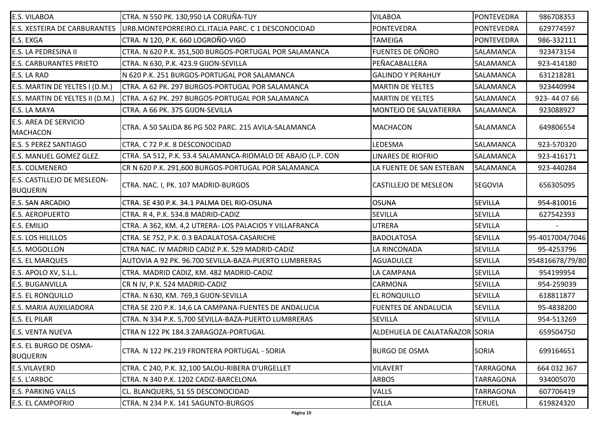| E.S. VILABOA                                   | CTRA. N 550 PK. 130,950 LA CORUÑA-TUY                        | <b>VILABOA</b>                 | PONTEVEDRA        | 986708353       |
|------------------------------------------------|--------------------------------------------------------------|--------------------------------|-------------------|-----------------|
| E.S. XESTEIRA DE CARBURANTES                   | URB.MONTEPORREIRO.CL.ITALIA PARC. C 1 DESCONOCIDAD           | <b>PONTEVEDRA</b>              | <b>PONTEVEDRA</b> | 629774597       |
|                                                |                                                              |                                |                   |                 |
| E.S. EXGA                                      | CTRA. N 120, P.K. 660 LOGROÑO-VIGO                           | <b>TAMEIGA</b>                 | <b>PONTEVEDRA</b> | 986-332111      |
| E.S. LA PEDRESINA II                           | CTRA. N 620 P.K. 351,500 BURGOS-PORTUGAL POR SALAMANCA       | <b>FUENTES DE OÑORO</b>        | SALAMANCA         | 923473154       |
| E.S. CARBURANTES PRIETO                        | CTRA. N 630, P.K. 423.9 GIJON-SEVILLA                        | PEÑACABALLERA                  | <b>SALAMANCA</b>  | 923-414180      |
| E.S. LA RAD                                    | N 620 P.K. 251 BURGOS-PORTUGAL POR SALAMANCA                 | <b>GALINDO Y PERAHUY</b>       | SALAMANCA         | 631218281       |
| E.S. MARTIN DE YELTES I (D.M.)                 | CTRA. A 62 PK. 297 BURGOS-PORTUGAL POR SALAMANCA             | <b>MARTIN DE YELTES</b>        | SALAMANCA         | 923440994       |
| E.S. MARTIN DE YELTES II (D.M.)                | CTRA. A 62 PK. 297 BURGOS-PORTUGAL POR SALAMANCA             | <b>MARTIN DE YELTES</b>        | <b>SALAMANCA</b>  | 923-440766      |
| E.S. LA MAYA                                   | CTRA. A 66 PK. 375 GIJON-SEVILLA                             | MONTEJO DE SALVATIERRA         | <b>SALAMANCA</b>  | 923088927       |
| E.S. AREA DE SERVICIO<br><b>MACHACON</b>       | CTRA. A 50 SALIDA 86 PG 502 PARC. 215 AVILA-SALAMANCA        | <b>MACHACON</b>                | SALAMANCA         | 649806554       |
| <b>E.S. 5 PEREZ SANTIAGO</b>                   | CTRA. C 72 P.K. 8 DESCONOCIDAD                               | LEDESMA                        | SALAMANCA         | 923-570320      |
| E.S. MANUEL GOMEZ GLEZ.                        | CTRA. SA 512, P.K. 53.4 SALAMANCA-RIOMALO DE ABAJO (L.P. CON | <b>LINARES DE RIOFRIO</b>      | SALAMANCA         | 923-416171      |
| E.S. COLMENERO                                 | CR N 620 P.K. 291,600 BURGOS-PORTUGAL POR SALAMANCA          | LA FUENTE DE SAN ESTEBAN       | <b>SALAMANCA</b>  | 923-440284      |
| E.S. CASTILLEJO DE MESLEON-<br><b>BUQUERIN</b> | CTRA. NAC. I, PK. 107 MADRID-BURGOS                          | <b>CASTILLEJO DE MESLEON</b>   | <b>SEGOVIA</b>    | 656305095       |
| <b>E.S. SAN ARCADIO</b>                        | CTRA. SE 430 P.K. 34.1 PALMA DEL RIO-OSUNA                   | <b>OSUNA</b>                   | <b>SEVILLA</b>    | 954-810016      |
| <b>E.S. AEROPUERTO</b>                         | CTRA. R 4, P.K. 534.8 MADRID-CADIZ                           | <b>SEVILLA</b>                 | <b>SEVILLA</b>    | 627542393       |
| E.S. EMILIO                                    | CTRA. A 362, KM. 4,2 UTRERA- LOS PALACIOS Y VILLAFRANCA      | <b>UTRERA</b>                  | <b>SEVILLA</b>    |                 |
| E.S. LOS HILILLOS                              | CTRA. SE 752, P.K. 0.3 BADALATOSA-CASARICHE                  | <b>BADOLATOSA</b>              | <b>SEVILLA</b>    | 95-4017004/7046 |
| E.S. MOGOLLON                                  | CTRA NAC. IV MADRID CADIZ P.K. 529 MADRID-CADIZ              | LA RINCONADA                   | <b>SEVILLA</b>    | 95-4253796      |
| <b>E.S. EL MARQUES</b>                         | AUTOVIA A 92 PK. 96.700 SEVILLA-BAZA-PUERTO LUMBRERAS        | <b>AGUADULCE</b>               | <b>SEVILLA</b>    | 954816678/79/80 |
| E.S. APOLO XV, S.L.L.                          | CTRA. MADRID CADIZ, KM. 482 MADRID-CADIZ                     | LA CAMPANA                     | <b>SEVILLA</b>    | 954199954       |
| <b>E.S. BUGANVILLA</b>                         | CR N IV, P.K. 524 MADRID-CADIZ                               | <b>CARMONA</b>                 | <b>SEVILLA</b>    | 954-259039      |
| <b>E.S. EL RONQUILLO</b>                       | CTRA. N 630, KM. 769,3 GIJON-SEVILLA                         | <b>EL RONQUILLO</b>            | <b>SEVILLA</b>    | 618811877       |
| E.S. MARIA AUXILIADORA                         | CTRA SE 220 P.K. 14,6 LA CAMPANA-FUENTES DE ANDALUCIA        | <b>FUENTES DE ANDALUCIA</b>    | <b>SEVILLA</b>    | 95-4838200      |
| E.S. EL PILAR                                  | CTRA. N 334 P.K. 5,700 SEVILLA-BAZA-PUERTO LUMBRERAS         | <b>SEVILLA</b>                 | <b>SEVILLA</b>    | 954-513269      |
| E.S. VENTA NUEVA                               | CTRA N 122 PK 184.3 ZARAGOZA-PORTUGAL                        | ALDEHUELA DE CALATAÑAZOR SORIA |                   | 659504750       |
| E.S. EL BURGO DE OSMA-<br><b>BUQUERIN</b>      | CTRA. N 122 PK.219 FRONTERA PORTUGAL - SORIA                 | <b>BURGO DE OSMA</b>           | <b>SORIA</b>      | 699164651       |
| E.S.VILAVERD                                   | CTRA. C 240, P.K. 32,100 SALOU-RIBERA D'URGELLET             | <b>VILAVERT</b>                | <b>TARRAGONA</b>  | 664 032 367     |
| E.S. L'ARBOC                                   | CTRA. N 340 P.K. 1202 CADIZ-BARCELONA                        | <b>ARBOS</b>                   | <b>TARRAGONA</b>  | 934005070       |
| <b>E.S. PARKING VALLS</b>                      | CL. BLANQUERS, 51 55 DESCONOCIDAD                            | <b>VALLS</b>                   | <b>TARRAGONA</b>  | 607706419       |
| <b>E.S. EL CAMPOFRIO</b>                       | CTRA. N 234 P.K. 141 SAGUNTO-BURGOS                          | <b>CELLA</b>                   | <b>TERUEL</b>     | 619824320       |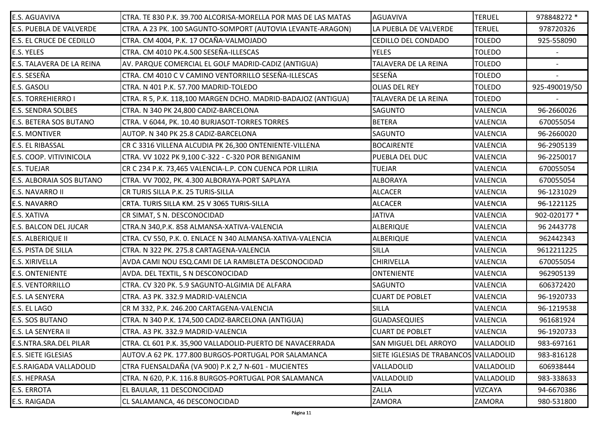| E.S. AGUAVIVA             | CTRA. TE 830 P.K. 39.700 ALCORISA-MORELLA POR MAS DE LAS MATAS | AGUAVIVA                               | <b>TERUEL</b>   | 978848272 *              |
|---------------------------|----------------------------------------------------------------|----------------------------------------|-----------------|--------------------------|
| E.S. PUEBLA DE VALVERDE   | CTRA. A 23 PK. 100 SAGUNTO-SOMPORT (AUTOVIA LEVANTE-ARAGON)    | LA PUEBLA DE VALVERDE                  | <b>TERUEL</b>   | 978720326                |
| E.S. EL CRUCE DE CEDILLO  | CTRA. CM 4004, P.K. 17 OCAÑA-VALMOJADO                         | CEDILLO DEL CONDADO                    | <b>TOLEDO</b>   | 925-558090               |
| E.S. YELES                | CTRA. CM 4010 PK.4.500 SESEÑA-ILLESCAS                         | <b>YELES</b>                           | <b>TOLEDO</b>   |                          |
| E.S. TALAVERA DE LA REINA | AV. PARQUE COMERCIAL EL GOLF MADRID-CADIZ (ANTIGUA)            | TALAVERA DE LA REINA                   | <b>TOLEDO</b>   | $\overline{\phantom{a}}$ |
| E.S. SESEÑA               | CTRA. CM 4010 C V CAMINO VENTORRILLO SESEÑA-ILLESCAS           | SESEÑA                                 | <b>TOLEDO</b>   |                          |
| E.S. GASOLI               | CTRA. N 401 P.K. 57.700 MADRID-TOLEDO                          | <b>OLIAS DEL REY</b>                   | <b>TOLEDO</b>   | 925-490019/50            |
| <b>E.S. TORREHIERRO I</b> | CTRA. R 5, P.K. 118,100 MARGEN DCHO. MADRID-BADAJOZ (ANTIGUA)  | <b>TALAVERA DE LA REINA</b>            | <b>TOLEDO</b>   |                          |
| <b>E.S. SENDRA SOLBES</b> | CTRA. N 340 PK 24,800 CADIZ-BARCELONA                          | <b>SAGUNTO</b>                         | VALENCIA        | 96-2660026               |
| E.S. BETERA SOS BUTANO    | CTRA. V 6044, PK. 10.40 BURJASOT-TORRES TORRES                 | <b>BETERA</b>                          | <b>VALENCIA</b> | 670055054                |
| <b>E.S. MONTIVER</b>      | AUTOP. N 340 PK 25.8 CADIZ-BARCELONA                           | <b>SAGUNTO</b>                         | VALENCIA        | 96-2660020               |
| E.S. EL RIBASSAL          | CR C 3316 VILLENA ALCUDIA PK 26,300 ONTENIENTE-VILLENA         | <b>BOCAIRENTE</b>                      | <b>VALENCIA</b> | 96-2905139               |
| E.S. COOP. VITIVINICOLA   | CTRA. VV 1022 PK 9,100 C-322 - C-320 POR BENIGANIM             | PUEBLA DEL DUC                         | <b>VALENCIA</b> | 96-2250017               |
| E.S. TUEJAR               | CR C 234 P.K. 73,465 VALENCIA-L.P. CON CUENCA POR LLIRIA       | <b>TUEJAR</b>                          | <b>VALENCIA</b> | 670055054                |
| E.S. ALBORAIA SOS BUTANO  | CTRA. VV 7002, PK. 4.300 ALBORAYA-PORT SAPLAYA                 | <b>ALBORAYA</b>                        | <b>VALENCIA</b> | 670055054                |
| E.S. NAVARRO II           | CR TURIS SILLA P.K. 25 TURIS-SILLA                             | <b>ALCACER</b>                         | <b>VALENCIA</b> | 96-1231029               |
| <b>E.S. NAVARRO</b>       | CRTA. TURIS SILLA KM. 25 V 3065 TURIS-SILLA                    | <b>ALCACER</b>                         | <b>VALENCIA</b> | 96-1221125               |
|                           |                                                                |                                        |                 |                          |
| E.S. XATIVA               | CR SIMAT, S N. DESCONOCIDAD                                    | <b>JATIVA</b>                          | <b>VALENCIA</b> | 902-020177 *             |
| E.S. BALCON DEL JUCAR     | CTRA.N 340, P.K. 858 ALMANSA-XATIVA-VALENCIA                   | <b>ALBERIQUE</b>                       | <b>VALENCIA</b> | 96 2443778               |
| E.S. ALBERIQUE II         | CTRA. CV 550, P.K. 0. ENLACE N 340 ALMANSA-XATIVA-VALENCIA     | <b>ALBERIQUE</b>                       | <b>VALENCIA</b> | 962442343                |
| E.S. PISTA DE SILLA       | CTRA. N 322 PK. 275.8 CARTAGENA-VALENCIA                       | <b>SILLA</b>                           | <b>VALENCIA</b> | 9612211225               |
| <b>E.S. XIRIVELLA</b>     | AVDA CAMI NOU ESQ.CAMI DE LA RAMBLETA DESCONOCIDAD             | <b>CHIRIVELLA</b>                      | <b>VALENCIA</b> | 670055054                |
| <b>E.S. ONTENIENTE</b>    | AVDA. DEL TEXTIL, S N DESCONOCIDAD                             | <b>ONTENIENTE</b>                      | <b>VALENCIA</b> | 962905139                |
| <b>E.S. VENTORRILLO</b>   | CTRA. CV 320 PK. 5.9 SAGUNTO-ALGIMIA DE ALFARA                 | <b>SAGUNTO</b>                         | <b>VALENCIA</b> | 606372420                |
| E.S. LA SENYERA           | CTRA. A3 PK. 332.9 MADRID-VALENCIA                             | <b>CUART DE POBLET</b>                 | <b>VALENCIA</b> | 96-1920733               |
| E.S. EL LAGO              | CR M 332, P.K. 246.200 CARTAGENA-VALENCIA                      | <b>SILLA</b>                           | <b>VALENCIA</b> | 96-1219538               |
| E.S. SOS BUTANO           | CTRA. N 340 P.K. 174,500 CADIZ-BARCELONA (ANTIGUA)             | <b>GUADASEQUIES</b>                    | <b>VALENCIA</b> | 961681924                |
| E.S. LA SENYERA II        | CTRA. A3 PK. 332.9 MADRID-VALENCIA                             | <b>CUART DE POBLET</b>                 | <b>VALENCIA</b> | 96-1920733               |
| E.S.NTRA.SRA.DEL PILAR    | CTRA. CL 601 P.K. 35,900 VALLADOLID-PUERTO DE NAVACERRADA      | <b>SAN MIGUEL DEL ARROYO</b>           | VALLADOLID      | 983-697161               |
| E.S. SIETE IGLESIAS       | AUTOV.A 62 PK. 177.800 BURGOS-PORTUGAL POR SALAMANCA           | SIETE IGLESIAS DE TRABANCOS VALLADOLID |                 | 983-816128               |
| E.S.RAIGADA VALLADOLID    | CTRA FUENSALDAÑA (VA 900) P.K 2,7 N-601 - MUCIENTES            | VALLADOLID                             | VALLADOLID      | 606938444                |
| E.S. HEPRASA              | CTRA. N 620, P.K. 116.8 BURGOS-PORTUGAL POR SALAMANCA          | VALLADOLID                             | VALLADOLID      | 983-338633               |
| E.S. ERROTA               | EL BAULAR, 11 DESCONOCIDAD                                     | ZALLA                                  | <b>VIZCAYA</b>  | 94-6670386               |